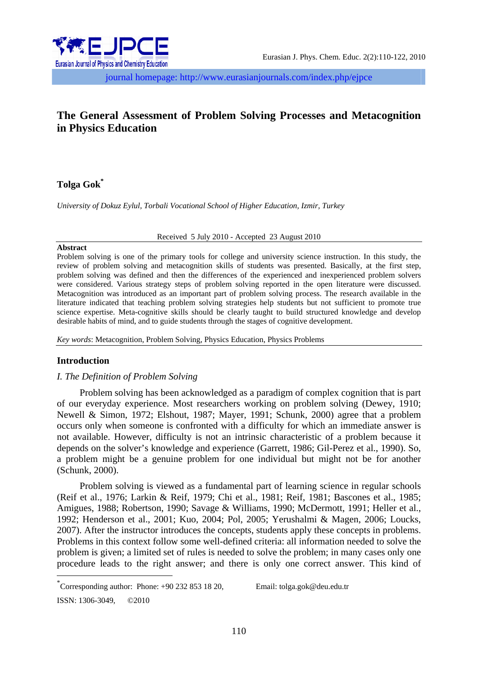

journal homepage: http://www.eurasianjournals.com/index.php/ejpce

# **The General Assessment of Problem Solving Processes and Metacognition in Physics Education**

## **Tolga Gok\***

*University of Dokuz Eylul, Torbali Vocational School of Higher Education, Izmir, Turkey* 

Received 5 July 2010 - Accepted 23 August 2010

#### **Abstract**

Problem solving is one of the primary tools for college and university science instruction. In this study, the review of problem solving and metacognition skills of students was presented. Basically, at the first step, problem solving was defined and then the differences of the experienced and inexperienced problem solvers were considered. Various strategy steps of problem solving reported in the open literature were discussed. Metacognition was introduced as an important part of problem solving process. The research available in the literature indicated that teaching problem solving strategies help students but not sufficient to promote true science expertise. Meta-cognitive skills should be clearly taught to build structured knowledge and develop desirable habits of mind, and to guide students through the stages of cognitive development.

*Key words*: Metacognition, Problem Solving, Physics Education, Physics Problems

## **Introduction**

1

## *I. The Definition of Problem Solving*

Problem solving has been acknowledged as a paradigm of complex cognition that is part of our everyday experience. Most researchers working on problem solving (Dewey, 1910; Newell & Simon, 1972; Elshout, 1987; Mayer, 1991; Schunk, 2000) agree that a problem occurs only when someone is confronted with a difficulty for which an immediate answer is not available. However, difficulty is not an intrinsic characteristic of a problem because it depends on the solver's knowledge and experience (Garrett, 1986; Gil-Perez et al., 1990). So, a problem might be a genuine problem for one individual but might not be for another (Schunk, 2000).

Problem solving is viewed as a fundamental part of learning science in regular schools (Reif et al., 1976; Larkin & Reif, 1979; Chi et al., 1981; Reif, 1981; Bascones et al., 1985; Amigues, 1988; Robertson, 1990; Savage & Williams, 1990; McDermott, 1991; Heller et al., 1992; Henderson et al., 2001; Kuo, 2004; Pol, 2005; Yerushalmi & Magen, 2006; Loucks, 2007). After the instructor introduces the concepts, students apply these concepts in problems. Problems in this context follow some well-defined criteria: all information needed to solve the problem is given; a limited set of rules is needed to solve the problem; in many cases only one procedure leads to the right answer; and there is only one correct answer. This kind of

\* Corresponding author: Phone: +90 232 853 18 20, Email: tolga.gok@deu.edu.tr ISSN: 1306-3049, ©2010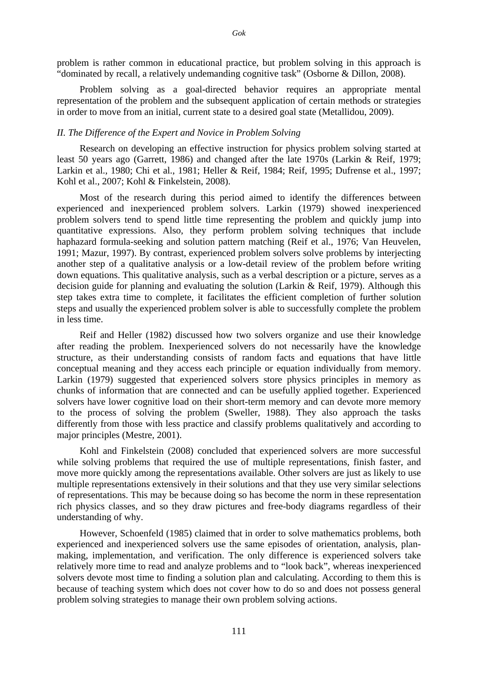problem is rather common in educational practice, but problem solving in this approach is "dominated by recall, a relatively undemanding cognitive task" (Osborne & Dillon, 2008).

Problem solving as a goal-directed behavior requires an appropriate mental representation of the problem and the subsequent application of certain methods or strategies in order to move from an initial, current state to a desired goal state (Metallidou, 2009).

#### *II. The Difference of the Expert and Novice in Problem Solving*

Research on developing an effective instruction for physics problem solving started at least 50 years ago (Garrett, 1986) and changed after the late 1970s (Larkin & Reif, 1979; Larkin et al., 1980; Chi et al., 1981; Heller & Reif, 1984; Reif, 1995; Dufrense et al., 1997; Kohl et al., 2007; Kohl & Finkelstein, 2008).

Most of the research during this period aimed to identify the differences between experienced and inexperienced problem solvers. Larkin (1979) showed inexperienced problem solvers tend to spend little time representing the problem and quickly jump into quantitative expressions. Also, they perform problem solving techniques that include haphazard formula-seeking and solution pattern matching (Reif et al., 1976; Van Heuvelen, 1991; Mazur, 1997). By contrast, experienced problem solvers solve problems by interjecting another step of a qualitative analysis or a low-detail review of the problem before writing down equations. This qualitative analysis, such as a verbal description or a picture, serves as a decision guide for planning and evaluating the solution (Larkin & Reif, 1979). Although this step takes extra time to complete, it facilitates the efficient completion of further solution steps and usually the experienced problem solver is able to successfully complete the problem in less time.

Reif and Heller (1982) discussed how two solvers organize and use their knowledge after reading the problem. Inexperienced solvers do not necessarily have the knowledge structure, as their understanding consists of random facts and equations that have little conceptual meaning and they access each principle or equation individually from memory. Larkin (1979) suggested that experienced solvers store physics principles in memory as chunks of information that are connected and can be usefully applied together. Experienced solvers have lower cognitive load on their short-term memory and can devote more memory to the process of solving the problem (Sweller, 1988). They also approach the tasks differently from those with less practice and classify problems qualitatively and according to major principles (Mestre, 2001).

Kohl and Finkelstein (2008) concluded that experienced solvers are more successful while solving problems that required the use of multiple representations, finish faster, and move more quickly among the representations available. Other solvers are just as likely to use multiple representations extensively in their solutions and that they use very similar selections of representations. This may be because doing so has become the norm in these representation rich physics classes, and so they draw pictures and free-body diagrams regardless of their understanding of why.

However, Schoenfeld (1985) claimed that in order to solve mathematics problems, both experienced and inexperienced solvers use the same episodes of orientation, analysis, planmaking, implementation, and verification. The only difference is experienced solvers take relatively more time to read and analyze problems and to "look back", whereas inexperienced solvers devote most time to finding a solution plan and calculating. According to them this is because of teaching system which does not cover how to do so and does not possess general problem solving strategies to manage their own problem solving actions.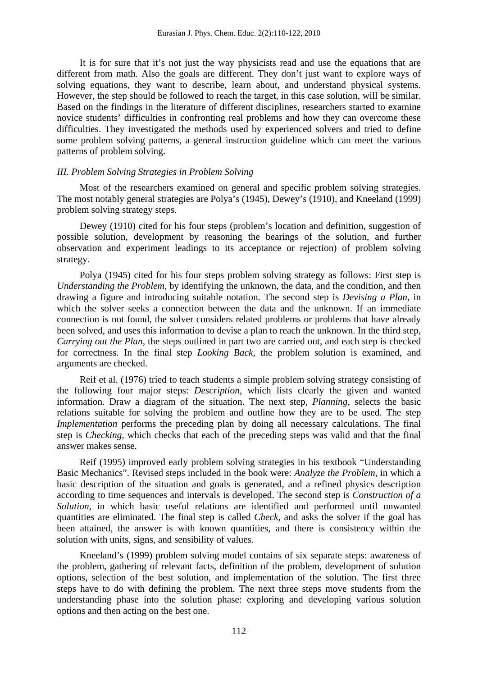It is for sure that it's not just the way physicists read and use the equations that are different from math. Also the goals are different. They don't just want to explore ways of solving equations, they want to describe, learn about, and understand physical systems. However, the step should be followed to reach the target, in this case solution, will be similar. Based on the findings in the literature of different disciplines, researchers started to examine novice students' difficulties in confronting real problems and how they can overcome these difficulties. They investigated the methods used by experienced solvers and tried to define some problem solving patterns, a general instruction guideline which can meet the various patterns of problem solving.

#### *III. Problem Solving Strategies in Problem Solving*

Most of the researchers examined on general and specific problem solving strategies. The most notably general strategies are Polya's (1945), Dewey's (1910), and Kneeland (1999) problem solving strategy steps.

Dewey (1910) cited for his four steps (problem's location and definition, suggestion of possible solution, development by reasoning the bearings of the solution, and further observation and experiment leadings to its acceptance or rejection) of problem solving strategy.

Polya (1945) cited for his four steps problem solving strategy as follows: First step is *Understanding the Problem,* by identifying the unknown, the data, and the condition, and then drawing a figure and introducing suitable notation. The second step is *Devising a Plan,* in which the solver seeks a connection between the data and the unknown. If an immediate connection is not found, the solver considers related problems or problems that have already been solved, and uses this information to devise a plan to reach the unknown. In the third step, *Carrying out the Plan,* the steps outlined in part two are carried out, and each step is checked for correctness. In the final step *Looking Back*, the problem solution is examined, and arguments are checked.

Reif et al. (1976) tried to teach students a simple problem solving strategy consisting of the following four major steps: *Description,* which lists clearly the given and wanted information. Draw a diagram of the situation. The next step, *Planning*, selects the basic relations suitable for solving the problem and outline how they are to be used. The step *Implementation* performs the preceding plan by doing all necessary calculations. The final step is *Checking,* which checks that each of the preceding steps was valid and that the final answer makes sense.

Reif (1995) improved early problem solving strategies in his textbook "Understanding Basic Mechanics". Revised steps included in the book were: *Analyze the Problem*, in which a basic description of the situation and goals is generated, and a refined physics description according to time sequences and intervals is developed. The second step is *Construction of a Solution,* in which basic useful relations are identified and performed until unwanted quantities are eliminated. The final step is called *Check,* and asks the solver if the goal has been attained, the answer is with known quantities, and there is consistency within the solution with units, signs, and sensibility of values.

Kneeland's (1999) problem solving model contains of six separate steps: awareness of the problem, gathering of relevant facts, definition of the problem, development of solution options, selection of the best solution, and implementation of the solution. The first three steps have to do with defining the problem. The next three steps move students from the understanding phase into the solution phase: exploring and developing various solution options and then acting on the best one.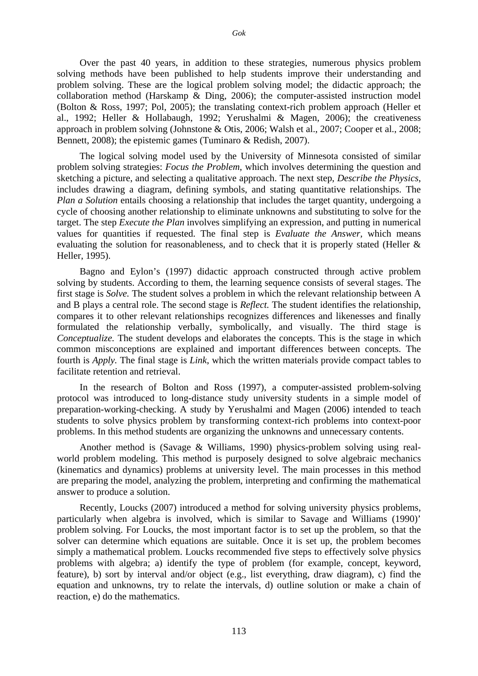Over the past 40 years, in addition to these strategies, numerous physics problem solving methods have been published to help students improve their understanding and problem solving. These are the logical problem solving model; the didactic approach; the collaboration method (Harskamp & Ding, 2006); the computer-assisted instruction model (Bolton & Ross, 1997; Pol, 2005); the translating context-rich problem approach (Heller et al., 1992; Heller & Hollabaugh, 1992; Yerushalmi & Magen, 2006); the creativeness approach in problem solving (Johnstone & Otis, 2006; Walsh et al., 2007; Cooper et al., 2008; Bennett, 2008); the epistemic games (Tuminaro & Redish, 2007).

The logical solving model used by the University of Minnesota consisted of similar problem solving strategies: *Focus the Problem*, which involves determining the question and sketching a picture, and selecting a qualitative approach. The next step, *Describe the Physics*, includes drawing a diagram, defining symbols, and stating quantitative relationships. The *Plan a Solution* entails choosing a relationship that includes the target quantity, undergoing a cycle of choosing another relationship to eliminate unknowns and substituting to solve for the target. The step *Execute the Plan* involves simplifying an expression, and putting in numerical values for quantities if requested. The final step is *Evaluate the Answer,* which means evaluating the solution for reasonableness, and to check that it is properly stated (Heller & Heller, 1995).

Bagno and Eylon's (1997) didactic approach constructed through active problem solving by students. According to them, the learning sequence consists of several stages. The first stage is *Solve.* The student solves a problem in which the relevant relationship between A and B plays a central role. The second stage is *Reflect.* The student identifies the relationship, compares it to other relevant relationships recognizes differences and likenesses and finally formulated the relationship verbally, symbolically, and visually. The third stage is *Conceptualize.* The student develops and elaborates the concepts. This is the stage in which common misconceptions are explained and important differences between concepts. The fourth is *Apply.* The final stage is *Link*, which the written materials provide compact tables to facilitate retention and retrieval.

In the research of Bolton and Ross (1997), a computer-assisted problem-solving protocol was introduced to long-distance study university students in a simple model of preparation-working-checking. A study by Yerushalmi and Magen (2006) intended to teach students to solve physics problem by transforming context-rich problems into context-poor problems. In this method students are organizing the unknowns and unnecessary contents.

Another method is (Savage & Williams, 1990) physics-problem solving using realworld problem modeling. This method is purposely designed to solve algebraic mechanics (kinematics and dynamics) problems at university level. The main processes in this method are preparing the model, analyzing the problem, interpreting and confirming the mathematical answer to produce a solution.

Recently, Loucks (2007) introduced a method for solving university physics problems, particularly when algebra is involved, which is similar to Savage and Williams (1990)' problem solving. For Loucks, the most important factor is to set up the problem, so that the solver can determine which equations are suitable. Once it is set up, the problem becomes simply a mathematical problem. Loucks recommended five steps to effectively solve physics problems with algebra; a) identify the type of problem (for example, concept, keyword, feature), b) sort by interval and/or object (e.g., list everything, draw diagram), c) find the equation and unknowns, try to relate the intervals, d) outline solution or make a chain of reaction, e) do the mathematics.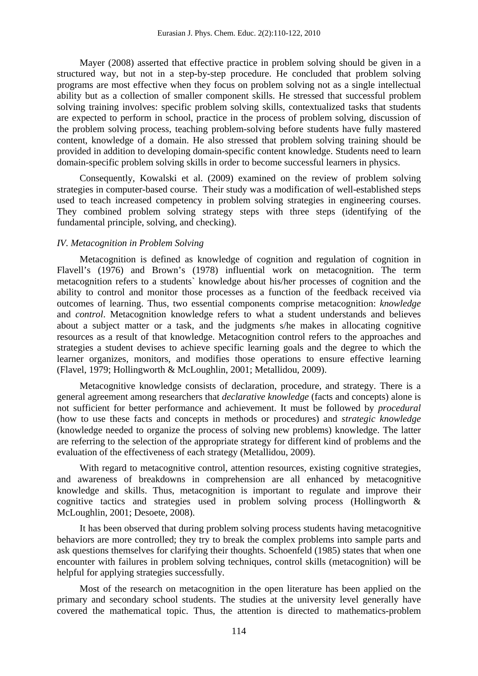Mayer (2008) asserted that effective practice in problem solving should be given in a structured way, but not in a step-by-step procedure. He concluded that problem solving programs are most effective when they focus on problem solving not as a single intellectual ability but as a collection of smaller component skills. He stressed that successful problem solving training involves: specific problem solving skills, contextualized tasks that students are expected to perform in school, practice in the process of problem solving, discussion of the problem solving process, teaching problem-solving before students have fully mastered content, knowledge of a domain. He also stressed that problem solving training should be provided in addition to developing domain-specific content knowledge. Students need to learn domain-specific problem solving skills in order to become successful learners in physics.

Consequently, Kowalski et al. (2009) examined on the review of problem solving strategies in computer-based course. Their study was a modification of well-established steps used to teach increased competency in problem solving strategies in engineering courses. They combined problem solving strategy steps with three steps (identifying of the fundamental principle, solving, and checking).

#### *IV. Metacognition in Problem Solving*

Metacognition is defined as knowledge of cognition and regulation of cognition in Flavell's (1976) and Brown's (1978) influential work on metacognition. The term metacognition refers to a students` knowledge about his/her processes of cognition and the ability to control and monitor those processes as a function of the feedback received via outcomes of learning. Thus, two essential components comprise metacognition: *knowledge* and *control*. Metacognition knowledge refers to what a student understands and believes about a subject matter or a task, and the judgments s/he makes in allocating cognitive resources as a result of that knowledge. Metacognition control refers to the approaches and strategies a student devises to achieve specific learning goals and the degree to which the learner organizes, monitors, and modifies those operations to ensure effective learning (Flavel, 1979; Hollingworth & McLoughlin, 2001; Metallidou, 2009).

Metacognitive knowledge consists of declaration, procedure, and strategy. There is a general agreement among researchers that *declarative knowledge* (facts and concepts) alone is not sufficient for better performance and achievement. It must be followed by *procedural*  (how to use these facts and concepts in methods or procedures) and *strategic knowledge*  (knowledge needed to organize the process of solving new problems) knowledge. The latter are referring to the selection of the appropriate strategy for different kind of problems and the evaluation of the effectiveness of each strategy (Metallidou, 2009).

With regard to metacognitive control, attention resources, existing cognitive strategies, and awareness of breakdowns in comprehension are all enhanced by metacognitive knowledge and skills. Thus, metacognition is important to regulate and improve their cognitive tactics and strategies used in problem solving process (Hollingworth & McLoughlin, 2001; Desoete, 2008).

It has been observed that during problem solving process students having metacognitive behaviors are more controlled; they try to break the complex problems into sample parts and ask questions themselves for clarifying their thoughts. Schoenfeld (1985) states that when one encounter with failures in problem solving techniques, control skills (metacognition) will be helpful for applying strategies successfully.

Most of the research on metacognition in the open literature has been applied on the primary and secondary school students. The studies at the university level generally have covered the mathematical topic. Thus, the attention is directed to mathematics-problem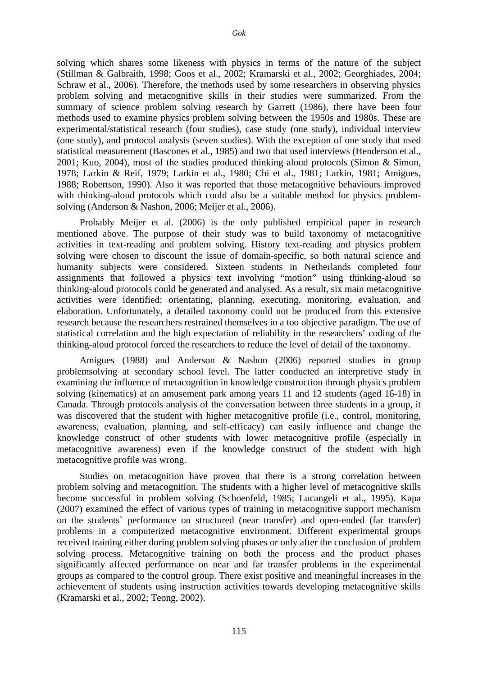solving which shares some likeness with physics in terms of the nature of the subject (Stillman & Galbraith, 1998; Goos et al., 2002; Kramarski et al., 2002; Georghiades, 2004; Schraw et al., 2006). Therefore, the methods used by some researchers in observing physics problem solving and metacognitive skills in their studies were summarized. From the summary of science problem solving research by Garrett (1986), there have been four methods used to examine physics problem solving between the 1950s and 1980s. These are experimental/statistical research (four studies), case study (one study), individual interview (one study), and protocol analysis (seven studies). With the exception of one study that used statistical measurement (Bascones et al., 1985) and two that used interviews (Henderson et al., 2001; Kuo, 2004), most of the studies produced thinking aloud protocols (Simon & Simon, 1978; Larkin & Reif, 1979; Larkin et al., 1980; Chi et al., 1981; Larkin, 1981; Amigues, 1988; Robertson, 1990). Also it was reported that those metacognitive behaviours improved with thinking-aloud protocols which could also be a suitable method for physics problemsolving (Anderson & Nashon, 2006; Meijer et al., 2006).

Probably Meijer et al. (2006) is the only published empirical paper in research mentioned above. The purpose of their study was to build taxonomy of metacognitive activities in text-reading and problem solving. History text-reading and physics problem solving were chosen to discount the issue of domain-specific, so both natural science and humanity subjects were considered. Sixteen students in Netherlands completed four assignments that followed a physics text involving "motion" using thinking-aloud so thinking-aloud protocols could be generated and analysed. As a result, six main metacognitive activities were identified: orientating, planning, executing, monitoring, evaluation, and elaboration. Unfortunately, a detailed taxonomy could not be produced from this extensive research because the researchers restrained themselves in a too objective paradigm. The use of statistical correlation and the high expectation of reliability in the researchers' coding of the thinking-aloud protocol forced the researchers to reduce the level of detail of the taxonomy.

Amigues (1988) and Anderson & Nashon (2006) reported studies in group problemsolving at secondary school level. The latter conducted an interpretive study in examining the influence of metacognition in knowledge construction through physics problem solving (kinematics) at an amusement park among years 11 and 12 students (aged 16-18) in Canada. Through protocols analysis of the conversation between three students in a group, it was discovered that the student with higher metacognitive profile (i.e., control, monitoring, awareness, evaluation, planning, and self-efficacy) can easily influence and change the knowledge construct of other students with lower metacognitive profile (especially in metacognitive awareness) even if the knowledge construct of the student with high metacognitive profile was wrong.

Studies on metacognition have proven that there is a strong correlation between problem solving and metacognition. The students with a higher level of metacognitive skills become successful in problem solving (Schoenfeld, 1985; Lucangeli et al., 1995). Kapa (2007) examined the effect of various types of training in metacognitive support mechanism on the students` performance on structured (near transfer) and open-ended (far transfer) problems in a computerized metacognitive environment. Different experimental groups received training either during problem solving phases or only after the conclusion of problem solving process. Metacognitive training on both the process and the product phases significantly affected performance on near and far transfer problems in the experimental groups as compared to the control group. There exist positive and meaningful increases in the achievement of students using instruction activities towards developing metacognitive skills (Kramarski et al., 2002; Teong, 2002).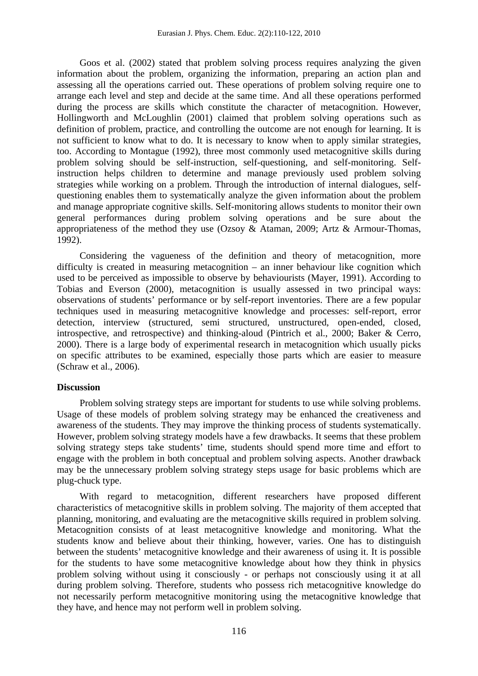Goos et al. (2002) stated that problem solving process requires analyzing the given information about the problem, organizing the information, preparing an action plan and assessing all the operations carried out. These operations of problem solving require one to arrange each level and step and decide at the same time. And all these operations performed during the process are skills which constitute the character of metacognition. However, Hollingworth and McLoughlin (2001) claimed that problem solving operations such as definition of problem, practice, and controlling the outcome are not enough for learning. It is not sufficient to know what to do. It is necessary to know when to apply similar strategies, too. According to Montague (1992), three most commonly used metacognitive skills during problem solving should be self-instruction, self-questioning, and self-monitoring. Selfinstruction helps children to determine and manage previously used problem solving strategies while working on a problem. Through the introduction of internal dialogues, selfquestioning enables them to systematically analyze the given information about the problem and manage appropriate cognitive skills. Self-monitoring allows students to monitor their own general performances during problem solving operations and be sure about the appropriateness of the method they use (Ozsoy & Ataman, 2009; Artz & Armour-Thomas, 1992).

Considering the vagueness of the definition and theory of metacognition, more difficulty is created in measuring metacognition – an inner behaviour like cognition which used to be perceived as impossible to observe by behaviourists (Mayer, 1991). According to Tobias and Everson (2000), metacognition is usually assessed in two principal ways: observations of students' performance or by self-report inventories. There are a few popular techniques used in measuring metacognitive knowledge and processes: self-report, error detection, interview (structured, semi structured, unstructured, open-ended, closed, introspective, and retrospective) and thinking-aloud (Pintrich et al., 2000; Baker & Cerro, 2000). There is a large body of experimental research in metacognition which usually picks on specific attributes to be examined, especially those parts which are easier to measure (Schraw et al., 2006).

## **Discussion**

Problem solving strategy steps are important for students to use while solving problems. Usage of these models of problem solving strategy may be enhanced the creativeness and awareness of the students. They may improve the thinking process of students systematically. However, problem solving strategy models have a few drawbacks. It seems that these problem solving strategy steps take students' time, students should spend more time and effort to engage with the problem in both conceptual and problem solving aspects. Another drawback may be the unnecessary problem solving strategy steps usage for basic problems which are plug-chuck type.

With regard to metacognition, different researchers have proposed different characteristics of metacognitive skills in problem solving. The majority of them accepted that planning, monitoring, and evaluating are the metacognitive skills required in problem solving. Metacognition consists of at least metacognitive knowledge and monitoring. What the students know and believe about their thinking, however, varies. One has to distinguish between the students' metacognitive knowledge and their awareness of using it. It is possible for the students to have some metacognitive knowledge about how they think in physics problem solving without using it consciously - or perhaps not consciously using it at all during problem solving. Therefore, students who possess rich metacognitive knowledge do not necessarily perform metacognitive monitoring using the metacognitive knowledge that they have, and hence may not perform well in problem solving.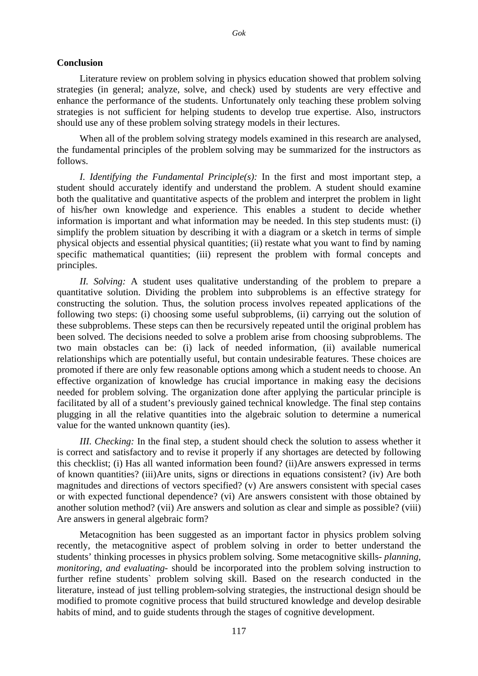#### **Conclusion**

Literature review on problem solving in physics education showed that problem solving strategies (in general; analyze, solve, and check) used by students are very effective and enhance the performance of the students. Unfortunately only teaching these problem solving strategies is not sufficient for helping students to develop true expertise. Also, instructors should use any of these problem solving strategy models in their lectures.

When all of the problem solving strategy models examined in this research are analysed, the fundamental principles of the problem solving may be summarized for the instructors as follows.

*I. Identifying the Fundamental Principle(s):* In the first and most important step, a student should accurately identify and understand the problem. A student should examine both the qualitative and quantitative aspects of the problem and interpret the problem in light of his/her own knowledge and experience. This enables a student to decide whether information is important and what information may be needed. In this step students must: (i) simplify the problem situation by describing it with a diagram or a sketch in terms of simple physical objects and essential physical quantities; (ii) restate what you want to find by naming specific mathematical quantities; (iii) represent the problem with formal concepts and principles.

*II. Solving:* A student uses qualitative understanding of the problem to prepare a quantitative solution. Dividing the problem into subproblems is an effective strategy for constructing the solution. Thus, the solution process involves repeated applications of the following two steps: (i) choosing some useful subproblems, (ii) carrying out the solution of these subproblems. These steps can then be recursively repeated until the original problem has been solved. The decisions needed to solve a problem arise from choosing subproblems. The two main obstacles can be: (i) lack of needed information, (ii) available numerical relationships which are potentially useful, but contain undesirable features. These choices are promoted if there are only few reasonable options among which a student needs to choose. An effective organization of knowledge has crucial importance in making easy the decisions needed for problem solving. The organization done after applying the particular principle is facilitated by all of a student's previously gained technical knowledge. The final step contains plugging in all the relative quantities into the algebraic solution to determine a numerical value for the wanted unknown quantity (ies).

*III. Checking:* In the final step, a student should check the solution to assess whether it is correct and satisfactory and to revise it properly if any shortages are detected by following this checklist; (i) Has all wanted information been found? (ii)Are answers expressed in terms of known quantities? (iii)Are units, signs or directions in equations consistent? (iv) Are both magnitudes and directions of vectors specified? (v) Are answers consistent with special cases or with expected functional dependence? (vi) Are answers consistent with those obtained by another solution method? (vii) Are answers and solution as clear and simple as possible? (viii) Are answers in general algebraic form?

Metacognition has been suggested as an important factor in physics problem solving recently, the metacognitive aspect of problem solving in order to better understand the students' thinking processes in physics problem solving. Some metacognitive skills- *planning, monitoring, and evaluating*- should be incorporated into the problem solving instruction to further refine students` problem solving skill. Based on the research conducted in the literature, instead of just telling problem-solving strategies, the instructional design should be modified to promote cognitive process that build structured knowledge and develop desirable habits of mind, and to guide students through the stages of cognitive development.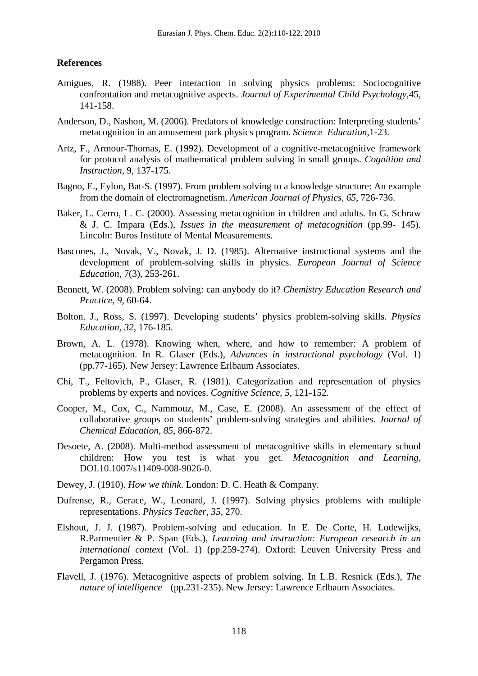#### **References**

- Amigues, R. (1988). Peer interaction in solving physics problems: Sociocognitive confrontation and metacognitive aspects. *Journal of Experimental Child Psychology*,45, 141-158.
- Anderson, D., Nashon, M. (2006). Predators of knowledge construction: Interpreting students' metacognition in an amusement park physics program. *Science Education*,1-23.
- Artz, F., Armour-Thomas, E. (1992). Development of a cognitive-metacognitive framework for protocol analysis of mathematical problem solving in small groups. *Cognition and Instruction*, 9, 137-175.
- Bagno, E., Eylon, Bat-S. (1997). From problem solving to a knowledge structure: An example from the domain of electromagnetism. *American Journal of Physics, 65*, 726-736.
- Baker, L. Cerro, L. C. (2000). Assessing metacognition in children and adults. In G. Schraw & J. C. Impara (Eds.), *Issues in the measurement of metacognition* (pp.99- 145). Lincoln: Buros Institute of Mental Measurements.
- Bascones, J., Novak, V., Novak, J. D. (1985). Alternative instructional systems and the development of problem-solving skills in physics. *European Journal of Science Education*, 7(3), 253-261.
- Bennett, W. (2008). Problem solving: can anybody do it? *Chemistry Education Research and Practice, 9*, 60-64.
- Bolton. J., Ross, S. (1997). Developing students' physics problem-solving skills. *Physics Education, 32*, 176-185.
- Brown, A. L. (1978). Knowing when, where, and how to remember: A problem of metacognition. In R. Glaser (Eds.), *Advances in instructional psychology* (Vol. 1) (pp.77-165). New Jersey: Lawrence Erlbaum Associates.
- Chi, T., Feltovich, P., Glaser, R. (1981). Categorization and representation of physics problems by experts and novices. *Cognitive Science*, *5*, 121-152.
- Cooper, M., Cox, C., Nammouz, M., Case, E. (2008). An assessment of the effect of collaborative groups on students' problem-solving strategies and abilities. *Journal of Chemical Education, 85*, 866-872.
- Desoete, A. (2008). Multi-method assessment of metacognitive skills in elementary school children: How you test is what you get. *Metacognition and Learning*, DOI.10.1007/s11409-008-9026-0.
- Dewey, J. (1910). *How we think*. London: D. C. Heath & Company.
- Dufrense, R., Gerace, W., Leonard, J. (1997). Solving physics problems with multiple representations. *Physics Teacher*, *35*, 270.
- Elshout, J. J. (1987). Problem-solving and education. In E. De Corte, H. Lodewijks, R.Parmentier & P. Span (Eds.), *Learning and instruction: European research in an international context* (Vol. 1) (pp.259-274). Oxford: Leuven University Press and Pergamon Press.
- Flavell, J. (1976). Metacognitive aspects of problem solving. In L.B. Resnick (Eds.), *The nature of intelligence* (pp.231-235). New Jersey: Lawrence Erlbaum Associates.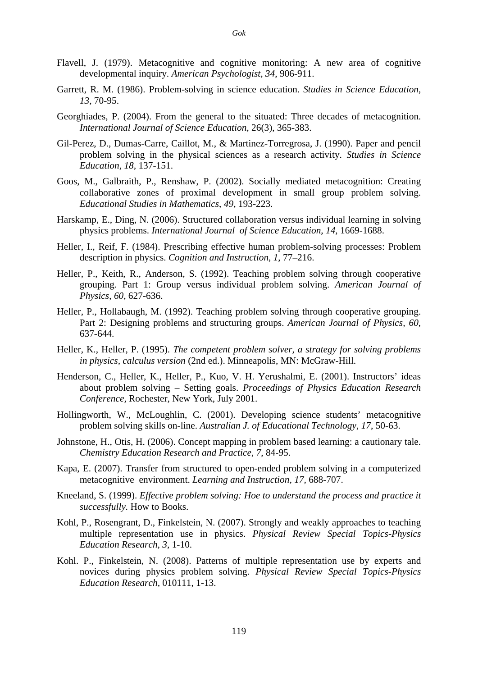- Flavell, J. (1979). Metacognitive and cognitive monitoring: A new area of cognitive developmental inquiry. *American Psychologist*, *34*, 906-911.
- Garrett, R. M. (1986). Problem-solving in science education. *Studies in Science Education*, *13,* 70-95.
- Georghiades, P. (2004). From the general to the situated: Three decades of metacognition. *International Journal of Science Education*, 26(3), 365-383.
- Gil-Perez, D., Dumas-Carre, Caillot, M., & Martinez-Torregrosa, J. (1990). Paper and pencil problem solving in the physical sciences as a research activity. *Studies in Science Education*, *18,* 137-151.
- Goos, M., Galbraith, P., Renshaw, P. (2002). Socially mediated metacognition: Creating collaborative zones of proximal development in small group problem solving. *Educational Studies in Mathematics*, *49,* 193-223.
- Harskamp, E., Ding, N. (2006). Structured collaboration versus individual learning in solving physics problems. *International Journal of Science Education*, *14*, 1669-1688.
- Heller, I., Reif, F. (1984). Prescribing effective human problem-solving processes: Problem description in physics. *Cognition and Instruction*, *1*, 77–216.
- Heller, P., Keith, R., Anderson, S. (1992). Teaching problem solving through cooperative grouping. Part 1: Group versus individual problem solving. *American Journal of Physics*, *60*, 627-636.
- Heller, P., Hollabaugh, M. (1992). Teaching problem solving through cooperative grouping. Part 2: Designing problems and structuring groups. *American Journal of Physics, 60*, 637-644.
- Heller, K., Heller, P. (1995). *The competent problem solver, a strategy for solving problems in physics, calculus version* (2nd ed.). Minneapolis, MN: McGraw-Hill.
- Henderson, C., Heller, K., Heller, P., Kuo, V. H. Yerushalmi, E. (2001). Instructors' ideas about problem solving – Setting goals. *Proceedings of Physics Education Research Conference,* Rochester, New York, July 2001.
- Hollingworth, W., McLoughlin, C. (2001). Developing science students' metacognitive problem solving skills on-line. *Australian J. of Educational Technology*, *17*, 50-63.
- Johnstone, H., Otis, H. (2006). Concept mapping in problem based learning: a cautionary tale. *Chemistry Education Research and Practice*, *7*, 84-95.
- Kapa, E. (2007). Transfer from structured to open-ended problem solving in a computerized metacognitive environment. *Learning and Instruction, 17,* 688-707.
- Kneeland, S. (1999). *Effective problem solving: Hoe to understand the process and practice it successfully.* How to Books.
- Kohl, P., Rosengrant, D., Finkelstein, N. (2007). Strongly and weakly approaches to teaching multiple representation use in physics. *Physical Review Special Topics-Physics Education Research*, *3*, 1-10.
- Kohl. P., Finkelstein, N. (2008). Patterns of multiple representation use by experts and novices during physics problem solving. *Physical Review Special Topics-Physics Education Research,* 010111, 1-13.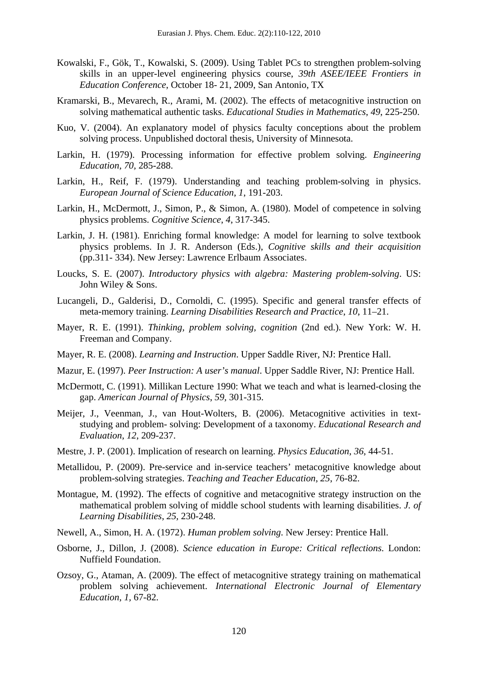- Kowalski, F., Gök, T., Kowalski, S. (2009). Using Tablet PCs to strengthen problem-solving skills in an upper-level engineering physics course, *39th ASEE/IEEE Frontiers in Education Conference*, October 18- 21, 2009, San Antonio, TX
- Kramarski, B., Mevarech, R., Arami, M. (2002). The effects of metacognitive instruction on solving mathematical authentic tasks. *Educational Studies in Mathematics*, *49*, 225-250.
- Kuo, V. (2004). An explanatory model of physics faculty conceptions about the problem solving process. Unpublished doctoral thesis, University of Minnesota.
- Larkin, H. (1979). Processing information for effective problem solving. *Engineering Education, 70,* 285-288.
- Larkin, H., Reif, F. (1979). Understanding and teaching problem-solving in physics. *European Journal of Science Education*, *1*, 191-203.
- Larkin, H., McDermott, J., Simon, P., & Simon, A. (1980). Model of competence in solving physics problems. *Cognitive Science*, *4*, 317-345.
- Larkin, J. H. (1981). Enriching formal knowledge: A model for learning to solve textbook physics problems. In J. R. Anderson (Eds.), *Cognitive skills and their acquisition*  (pp.311- 334). New Jersey: Lawrence Erlbaum Associates.
- Loucks, S. E. (2007). *Introductory physics with algebra: Mastering problem-solving*. US: John Wiley & Sons.
- Lucangeli, D., Galderisi, D., Cornoldi, C. (1995). Specific and general transfer effects of meta-memory training. *Learning Disabilities Research and Practice*, *10*, 11–21.
- Mayer, R. E. (1991). *Thinking, problem solving, cognition* (2nd ed.). New York: W. H. Freeman and Company.
- Mayer, R. E. (2008). *Learning and Instruction*. Upper Saddle River, NJ: Prentice Hall.
- Mazur, E. (1997). *Peer Instruction: A user's manual*. Upper Saddle River, NJ: Prentice Hall.
- McDermott, C. (1991). Millikan Lecture 1990: What we teach and what is learned-closing the gap. *American Journal of Physics*, *59,* 301-315.
- Meijer, J., Veenman, J., van Hout-Wolters, B. (2006). Metacognitive activities in textstudying and problem- solving: Development of a taxonomy. *Educational Research and Evaluation*, *12*, 209-237.
- Mestre, J. P. (2001). Implication of research on learning. *Physics Education*, *36*, 44-51.
- Metallidou, P. (2009). Pre-service and in-service teachers' metacognitive knowledge about problem-solving strategies. *Teaching and Teacher Education*, *25*, 76-82.
- Montague, M. (1992). The effects of cognitive and metacognitive strategy instruction on the mathematical problem solving of middle school students with learning disabilities. *J. of Learning Disabilities*, *25,* 230-248.
- Newell, A., Simon, H. A. (1972). *Human problem solving*. New Jersey: Prentice Hall.
- Osborne, J., Dillon, J. (2008). *Science education in Europe: Critical reflections*. London: Nuffield Foundation.
- Ozsoy, G., Ataman, A. (2009). The effect of metacognitive strategy training on mathematical problem solving achievement. *International Electronic Journal of Elementary Education*, *1,* 67-82.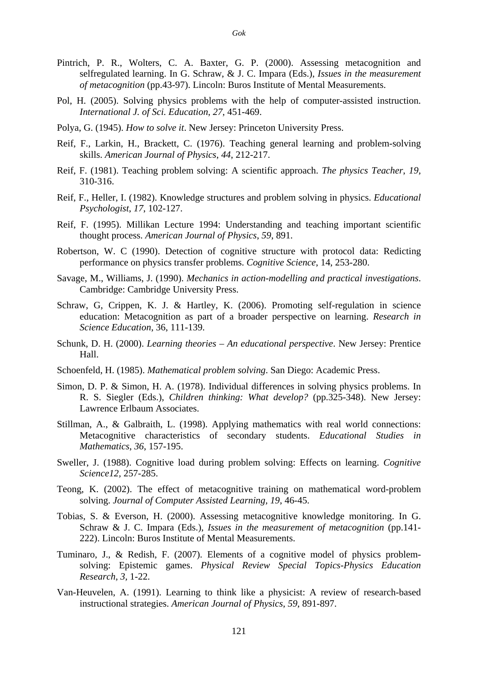- Pintrich, P. R., Wolters, C. A. Baxter, G. P. (2000). Assessing metacognition and selfregulated learning. In G. Schraw, & J. C. Impara (Eds.), *Issues in the measurement of metacognition* (pp.43-97). Lincoln: Buros Institute of Mental Measurements.
- Pol, H. (2005). Solving physics problems with the help of computer-assisted instruction. *International J. of Sci. Education*, *27*, 451-469.
- Polya, G. (1945). *How to solve it*. New Jersey: Princeton University Press.
- Reif, F., Larkin, H., Brackett, C. (1976). Teaching general learning and problem-solving skills. *American Journal of Physics*, *44*, 212-217.
- Reif, F. (1981). Teaching problem solving: A scientific approach. *The physics Teacher*, *19,* 310-316.
- Reif, F., Heller, I. (1982). Knowledge structures and problem solving in physics. *Educational Psychologist*, *17*, 102-127.
- Reif, F. (1995). Millikan Lecture 1994: Understanding and teaching important scientific thought process. *American Journal of Physics*, *59*, 891.
- Robertson, W. C (1990). Detection of cognitive structure with protocol data: Redicting performance on physics transfer problems. *Cognitive Science*, 14, 253-280.
- Savage, M., Williams, J. (1990). *Mechanics in action-modelling and practical investigations*. Cambridge: Cambridge University Press.
- Schraw, G, Crippen, K. J. & Hartley, K. (2006). Promoting self-regulation in science education: Metacognition as part of a broader perspective on learning. *Research in Science Education*, 36, 111-139.
- Schunk, D. H. (2000). *Learning theories An educational perspective*. New Jersey: Prentice Hall.
- Schoenfeld, H. (1985). *Mathematical problem solving*. San Diego: Academic Press.
- Simon, D. P. & Simon, H. A. (1978). Individual differences in solving physics problems. In R. S. Siegler (Eds.), *Children thinking: What develop?* (pp.325-348). New Jersey: Lawrence Erlbaum Associates.
- Stillman, A., & Galbraith, L. (1998). Applying mathematics with real world connections: Metacognitive characteristics of secondary students. *Educational Studies in Mathematics*, *36*, 157-195.
- Sweller, J. (1988). Cognitive load during problem solving: Effects on learning. *Cognitive Science12,* 257-285.
- Teong, K. (2002). The effect of metacognitive training on mathematical word-problem solving. *Journal of Computer Assisted Learning, 19*, 46-45.
- Tobias, S. & Everson, H. (2000). Assessing metacognitive knowledge monitoring. In G. Schraw & J. C. Impara (Eds.), *Issues in the measurement of metacognition* (pp.141- 222). Lincoln: Buros Institute of Mental Measurements.
- Tuminaro, J., & Redish, F. (2007). Elements of a cognitive model of physics problemsolving: Epistemic games. *Physical Review Special Topics-Physics Education Research*, *3,* 1-22.
- Van-Heuvelen, A. (1991). Learning to think like a physicist: A review of research-based instructional strategies. *American Journal of Physics*, *59*, 891-897.